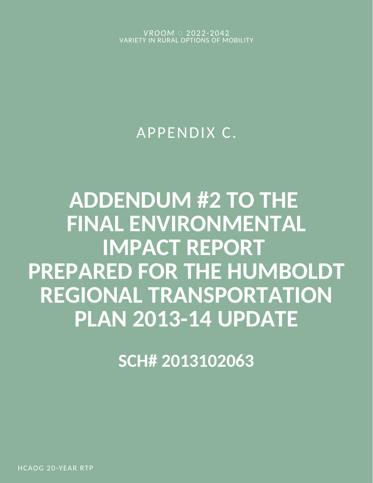*VROOM* ◌ 2022-2042 VARIETY IN RURAL OPTIONS OF MOBILITY

## APPENDIX C.

# **ADDENDUM #2 TO THE FINAL ENVIRONMENTAL IMPACT REPORT PREPARED FOR THE HUMBOLDT REGIONAL TRANSPORTATION PLAN 2013-14 UPDATE**

**SCH# 2013102063**

HCAOG 20-YEAR RTP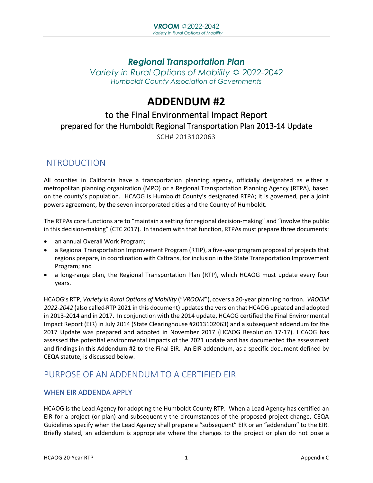## *Regional Transportation Plan Variety in Rural Options of Mobility*  $\ddot{\varphi}$  *2022-2042 Humboldt County Association of Governments*

## **ADDENDUM #2**

## to the Final Environmental Impact Report prepared for the Humboldt Regional Transportation Plan 2013-14 Update

SCH# 2013102063

## INTRODUCTION

All counties in California have a transportation planning agency, officially designated as either a metropolitan planning organization (MPO) or a Regional Transportation Planning Agency (RTPA), based on the county's population. HCAOG is Humboldt County's designated RTPA; it is governed, per a joint powers agreement, by the seven incorporated cities and the County of Humboldt.

The RTPAs core functions are to "maintain a setting for regional decision-making" and "involve the public in this decision-making" (CTC 2017). In tandem with that function, RTPAs must prepare three documents:

- an annual Overall Work Program;
- a Regional Transportation Improvement Program (RTIP), a five-year program proposal of projects that regions prepare, in coordination with Caltrans, for inclusion in the State Transportation Improvement Program; and
- a long-range plan, the Regional Transportation Plan (RTP), which HCAOG must update every four years.

HCAOG's RTP, *Variety in Rural Options of Mobility* ("*VROOM*"), covers a 20-year planning horizon. *VROOM 2022-2042* (also called RTP 2021 in this document) updates the version that HCAOG updated and adopted in 2013-2014 and in 2017. In conjunction with the 2014 update, HCAOG certified the Final Environmental Impact Report (EIR) in July 2014 (State Clearinghouse #2013102063) and a subsequent addendum for the 2017 Update was prepared and adopted in November 2017 (HCAOG Resolution 17-17). HCAOG has assessed the potential environmental impacts of the 2021 update and has documented the assessment and findings in this Addendum #2 to the Final EIR. An EIR addendum, as a specific document defined by CEQA statute, is discussed below.

## PURPOSE OF AN ADDENDUM TO A CERTIFIED EIR

#### WHEN EIR ADDENDA APPLY

HCAOG is the Lead Agency for adopting the Humboldt County RTP. When a Lead Agency has certified an EIR for a project (or plan) and subsequently the circumstances of the proposed project change, CEQA Guidelines specify when the Lead Agency shall prepare a "subsequent" EIR or an "addendum" to the EIR. Briefly stated, an addendum is appropriate where the changes to the project or plan do not pose a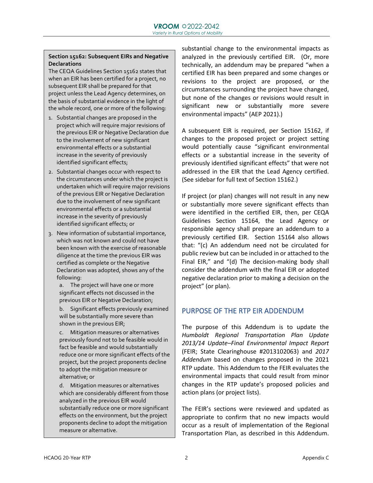#### **Section 15162: Subsequent EIRs and Negative Declarations**

The CEQA Guidelines Section 15162 states that when an EIR has been certified for a project, no subsequent EIR shall be prepared for that project unless the Lead Agency determines, on the basis of substantial evidence in the light of the whole record, one or more of the following:

- 1. Substantial changes are proposed in the project which will require major revisions of the previous EIR or Negative Declaration due to the involvement of new significant environmental effects or a substantial increase in the severity of previously identified significant effects;
- 2. Substantial changes occur with respect to the circumstances under which the project is undertaken which will require major revisions of the previous EIR or Negative Declaration due to the involvement of new significant environmental effects or a substantial increase in the severity of previously identified significant effects; or
- 3. New information of substantial importance, which was not known and could not have been known with the exercise of reasonable diligence at the time the previous EIR was certified as complete or the Negative Declaration was adopted, shows any of the following:
	- a. The project will have one or more significant effects not discussed in the previous EIR or Negative Declaration;
	- b. Significant effects previously examined will be substantially more severe than shown in the previous EIR;
	- c. Mitigation measures or alternatives previously found not to be feasible would in fact be feasible and would substantially reduce one or more significant effects of the project, but the project proponents decline to adopt the mitigation measure or alternative; or

d. Mitigation measures or alternatives which are considerably different from those analyzed in the previous EIR would substantially reduce one or more significant effects on the environment, but the project proponents decline to adopt the mitigation measure or alternative.

substantial change to the environmental impacts as analyzed in the previously certified EIR. (Or, more technically, an addendum may be prepared "when a certified EIR has been prepared and some changes or revisions to the project are proposed, or the circumstances surrounding the project have changed, but none of the changes or revisions would result in significant new or substantially more severe environmental impacts" (AEP 2021).)

A subsequent EIR is required, per Section 15162, if changes to the proposed project or project setting would potentially cause "significant environmental effects or a substantial increase in the severity of previously identified significant effects" that were not addressed in the EIR that the Lead Agency certified. (See sidebar for full text of Section 15162.)

If project (or plan) changes will not result in any new or substantially more severe significant effects than were identified in the certified EIR, then, per CEQA Guidelines Section 15164, the Lead Agency or responsible agency shall prepare an addendum to a previously certified EIR. Section 15164 also allows that: "(c) An addendum need not be circulated for public review but can be included in or attached to the Final EIR," and "(d) The decision-making body shall consider the addendum with the final EIR or adopted negative declaration prior to making a decision on the project" (or plan).

#### PURPOSE OF THE RTP EIR ADDENDUM

The purpose of this Addendum is to update the *Humboldt Regional Transportation Plan Update 2013/14 Update–Final Environmental Impact Report*  (FEIR; State Clearinghouse #2013102063) and *2017 Addendum* based on changes proposed in the 2021 RTP update. This Addendum to the FEIR evaluates the environmental impacts that could result from minor changes in the RTP update's proposed policies and action plans (or project lists).

The FEIR's sections were reviewed and updated as appropriate to confirm that no new impacts would occur as a result of implementation of the Regional Transportation Plan, as described in this Addendum.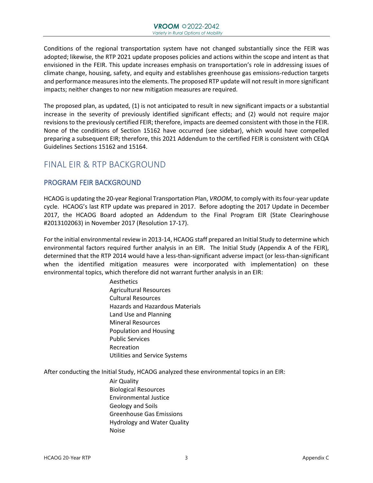Conditions of the regional transportation system have not changed substantially since the FEIR was adopted; likewise, the RTP 2021 update proposes policies and actions within the scope and intent as that envisioned in the FEIR. This update increases emphasis on transportation's role in addressing issues of climate change, housing, safety, and equity and establishes greenhouse gas emissions-reduction targets and performance measures into the elements. The proposed RTP update will not result in more significant impacts; neither changes to nor new mitigation measures are required.

The proposed plan, as updated, (1) is not anticipated to result in new significant impacts or a substantial increase in the severity of previously identified significant effects; and (2) would not require major revisions to the previously certified FEIR; therefore, impacts are deemed consistent with those in the FEIR. None of the conditions of Section 15162 have occurred (see sidebar), which would have compelled preparing a subsequent EIR; therefore, this 2021 Addendum to the certified FEIR is consistent with CEQA Guidelines Sections 15162 and 15164.

## FINAL EIR & RTP BACKGROUND

#### PROGRAM FEIR BACKGROUND

HCAOG is updating the 20-year Regional Transportation Plan, *VROOM*, to comply with its four-year update cycle. HCAOG's last RTP update was prepared in 2017. Before adopting the 2017 Update in December 2017, the HCAOG Board adopted an Addendum to the Final Program EIR (State Clearinghouse #2013102063) in November 2017 (Resolution 17-17).

For the initial environmental review in 2013-14, HCAOG staff prepared an Initial Study to determine which environmental factors required further analysis in an EIR. The Initial Study (Appendix A of the FEIR), determined that the RTP 2014 would have a less-than-significant adverse impact (or less-than-significant when the identified mitigation measures were incorporated with implementation) on these environmental topics, which therefore did not warrant further analysis in an EIR:

> Aesthetics Agricultural Resources Cultural Resources Hazards and Hazardous Materials Land Use and Planning Mineral Resources Population and Housing Public Services Recreation Utilities and Service Systems

After conducting the Initial Study, HCAOG analyzed these environmental topics in an EIR:

Air Quality Biological Resources Environmental Justice Geology and Soils Greenhouse Gas Emissions Hydrology and Water Quality Noise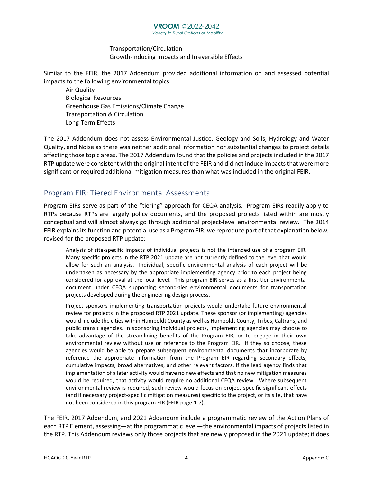#### Transportation/Circulation Growth-Inducing Impacts and Irreversible Effects

Similar to the FEIR, the 2017 Addendum provided additional information on and assessed potential impacts to the following environmental topics:

Air Quality Biological Resources Greenhouse Gas Emissions/Climate Change Transportation & Circulation Long-Term Effects

The 2017 Addendum does not assess Environmental Justice, Geology and Soils, Hydrology and Water Quality, and Noise as there was neither additional information nor substantial changes to project details affecting those topic areas. The 2017 Addendum found that the policies and projects included in the 2017 RTP update were consistent with the original intent of the FEIR and did not induce impacts that were more significant or required additional mitigation measures than what was included in the original FEIR.

## Program EIR: Tiered Environmental Assessments

Program EIRs serve as part of the "tiering" approach for CEQA analysis. Program EIRs readily apply to RTPs because RTPs are largely policy documents, and the proposed projects listed within are mostly conceptual and will almost always go through additional project-level environmental review. The 2014 FEIR explains its function and potential use as a Program EIR; we reproduce part of that explanation below, revised for the proposed RTP update:

Analysis of site-specific impacts of individual projects is not the intended use of a program EIR. Many specific projects in the RTP 2021 update are not currently defined to the level that would allow for such an analysis. Individual, specific environmental analysis of each project will be undertaken as necessary by the appropriate implementing agency prior to each project being considered for approval at the local level. This program EIR serves as a first-tier environmental document under CEQA supporting second-tier environmental documents for transportation projects developed during the engineering design process.

Project sponsors implementing transportation projects would undertake future environmental review for projects in the proposed RTP 2021 update. These sponsor (or implementing) agencies would include the cities within Humboldt County as well as Humboldt County, Tribes, Caltrans, and public transit agencies. In sponsoring individual projects, implementing agencies may choose to take advantage of the streamlining benefits of the Program EIR, or to engage in their own environmental review without use or reference to the Program EIR. If they so choose, these agencies would be able to prepare subsequent environmental documents that incorporate by reference the appropriate information from the Program EIR regarding secondary effects, cumulative impacts, broad alternatives, and other relevant factors. If the lead agency finds that implementation of a later activity would have no new effects and that no new mitigation measures would be required, that activity would require no additional CEQA review. Where subsequent environmental review is required, such review would focus on project-specific significant effects (and if necessary project-specific mitigation measures) specific to the project, or its site, that have not been considered in this program EIR (FEIR page 1-7).

The FEIR, 2017 Addendum, and 2021 Addendum include a programmatic review of the Action Plans of each RTP Element, assessing—at the programmatic level—the environmental impacts of projects listed in the RTP. This Addendum reviews only those projects that are newly proposed in the 2021 update; it does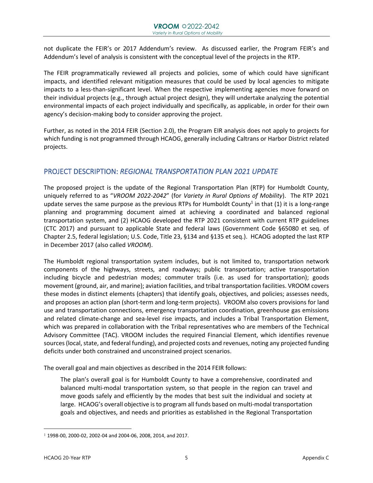not duplicate the FEIR's or 2017 Addendum's review. As discussed earlier, the Program FEIR's and Addendum's level of analysis is consistent with the conceptual level of the projects in the RTP.

The FEIR programmatically reviewed all projects and policies, some of which could have significant impacts, and identified relevant mitigation measures that could be used by local agencies to mitigate impacts to a less-than-significant level. When the respective implementing agencies move forward on their individual projects (e.g., through actual project design), they will undertake analyzing the potential environmental impacts of each project individually and specifically, as applicable, in order for their own agency's decision-making body to consider approving the project.

Further, as noted in the 2014 FEIR (Section 2.0), the Program EIR analysis does not apply to projects for which funding is not programmed through HCAOG, generally including Caltrans or Harbor District related projects.

#### PROJECT DESCRIPTION: *REGIONAL TRANSPORTATION PLAN 2021 UPDATE*

The proposed project is the update of the Regional Transportation Plan (RTP) for Humboldt County, uniquely referred to as "*VROOM 2022-2042*" (for *Variety in Rural Options of Mobility*). The RTP 2021 update serves the same purpose as the previous RTPs for Humboldt County<sup>1</sup> in that (1) it is a long-range planning and programming document aimed at achieving a coordinated and balanced regional transportation system, and (2) HCAOG developed the RTP 2021 consistent with current RTP guidelines (CTC 2017) and pursuant to applicable State and federal laws (Government Code §65080 et seq. of Chapter 2.5, federal legislation; U.S. Code, Title 23, §134 and §135 et seq.). HCAOG adopted the last RTP in December 2017 (also called *VROOM*).

The Humboldt regional transportation system includes, but is not limited to, transportation network components of the highways, streets, and roadways; public transportation; active transportation including bicycle and pedestrian modes; commuter trails (i.e. as used for transportation); goods movement (ground, air, and marine); aviation facilities, and tribal transportation facilities. VROOM covers these modes in distinct elements (chapters) that identify goals, objectives, and policies; assesses needs, and proposes an action plan (short-term and long-term projects). VROOM also covers provisions for land use and transportation connections, emergency transportation coordination, greenhouse gas emissions and related climate-change and sea-level rise impacts, and includes a Tribal Transportation Element, which was prepared in collaboration with the Tribal representatives who are members of the Technical Advisory Committee (TAC). VROOM includes the required Financial Element, which identifies revenue sources (local, state, and federal funding), and projected costs and revenues, noting any projected funding deficits under both constrained and unconstrained project scenarios.

The overall goal and main objectives as described in the 2014 FEIR follows:

The plan's overall goal is for Humboldt County to have a comprehensive, coordinated and balanced multi-modal transportation system, so that people in the region can travel and move goods safely and efficiently by the modes that best suit the individual and society at large. HCAOG's overall objective is to program all funds based on multi-modal transportation goals and objectives, and needs and priorities as established in the Regional Transportation

 $1$  1998-00, 2000-02, 2002-04 and 2004-06, 2008, 2014, and 2017.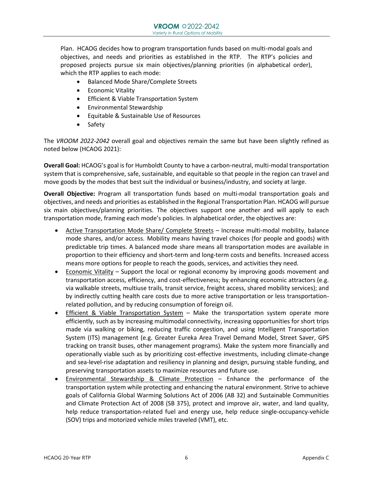Plan. HCAOG decides how to program transportation funds based on multi-modal goals and objectives, and needs and priorities as established in the RTP. The RTP's policies and proposed projects pursue six main objectives/planning priorities (in alphabetical order), which the RTP applies to each mode:

- Balanced Mode Share/Complete Streets
- Economic Vitality
- Efficient & Viable Transportation System
- Environmental Stewardship
- Equitable & Sustainable Use of Resources
- Safety

The *VROOM 2022-2042* overall goal and objectives remain the same but have been slightly refined as noted below (HCAOG 2021):

**Overall Goal:** HCAOG's goal is for Humboldt County to have a carbon-neutral, multi-modal transportation system that is comprehensive, safe, sustainable, and equitable so that people in the region can travel and move goods by the modes that best suit the individual or business/industry, and society at large.

**Overall Objective:** Program all transportation funds based on multi-modal transportation goals and objectives, and needs and priorities as established in the Regional Transportation Plan. HCAOG will pursue six main objectives/planning priorities. The objectives support one another and will apply to each transportation mode, framing each mode's policies. In alphabetical order, the objectives are:

- Active Transportation Mode Share/ Complete Streets Increase multi-modal mobility, balance mode shares, and/or access. Mobility means having travel choices (for people and goods) with predictable trip times. A balanced mode share means all transportation modes are available in proportion to their efficiency and short-term and long-term costs and benefits. Increased access means more options for people to reach the goods, services, and activities they need.
- Economic Vitality Support the local or regional economy by improving goods movement and transportation access, efficiency, and cost-effectiveness; by enhancing economic attractors (e.g. via walkable streets, multiuse trails, transit service, freight access, shared mobility services); and by indirectly cutting health care costs due to more active transportation or less transportationrelated pollution, and by reducing consumption of foreign oil.
- Efficient & Viable Transportation System Make the transportation system operate more efficiently, such as by increasing multimodal connectivity, increasing opportunities for short trips made via walking or biking, reducing traffic congestion, and using Intelligent Transportation System (ITS) management (e.g. Greater Eureka Area Travel Demand Model, Street Saver, GPS tracking on transit buses, other management programs). Make the system more financially and operationally viable such as by prioritizing cost-effective investments, including climate-change and sea-level-rise adaptation and resiliency in planning and design, pursuing stable funding, and preserving transportation assets to maximize resources and future use.
- Environmental Stewardship & Climate Protection Enhance the performance of the transportation system while protecting and enhancing the natural environment. Strive to achieve goals of California Global Warming Solutions Act of 2006 (AB 32) and Sustainable Communities and Climate Protection Act of 2008 (SB 375), protect and improve air, water, and land quality, help reduce transportation-related fuel and energy use, help reduce single-occupancy-vehicle (SOV) trips and motorized vehicle miles traveled (VMT), etc.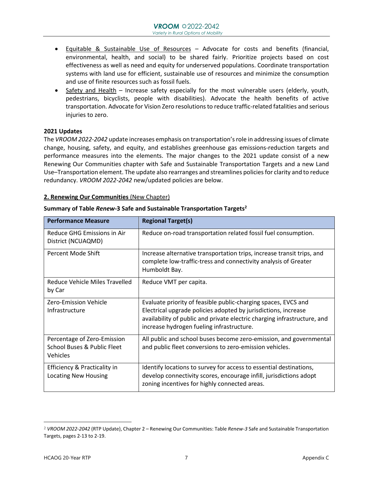- Equitable & Sustainable Use of Resources Advocate for costs and benefits (financial, environmental, health, and social) to be shared fairly. Prioritize projects based on cost effectiveness as well as need and equity for underserved populations. Coordinate transportation systems with land use for efficient, sustainable use of resources and minimize the consumption and use of finite resources such as fossil fuels.
- Safety and Health Increase safety especially for the most vulnerable users (elderly, youth, pedestrians, bicyclists, people with disabilities). Advocate the health benefits of active transportation. Advocate for Vision Zero resolutions to reduce traffic-related fatalities and serious injuries to zero.

#### **2021 Updates**

The *VROOM 2022-2042* update increases emphasis on transportation's role in addressing issues of climate change, housing, safety, and equity, and establishes greenhouse gas emissions-reduction targets and performance measures into the elements. The major changes to the 2021 update consist of a new Renewing Our Communities chapter with Safe and Sustainable Transportation Targets and a new Land Use–Transportation element. The update also rearranges and streamlines policies for clarity and to reduce redundancy. *VROOM 2022-2042* new/updated policies are below.

#### **2. Renewing Our Communities** (New Chapter)

| <b>Performance Measure</b>                                                               | <b>Regional Target(s)</b>                                                                                                                                                                                                                                 |
|------------------------------------------------------------------------------------------|-----------------------------------------------------------------------------------------------------------------------------------------------------------------------------------------------------------------------------------------------------------|
| Reduce GHG Emissions in Air<br>District (NCUAQMD)                                        | Reduce on-road transportation related fossil fuel consumption.                                                                                                                                                                                            |
| Percent Mode Shift                                                                       | Increase alternative transportation trips, increase transit trips, and<br>complete low-traffic-tress and connectivity analysis of Greater<br>Humboldt Bay.                                                                                                |
| Reduce Vehicle Miles Travelled<br>by Car                                                 | Reduce VMT per capita.                                                                                                                                                                                                                                    |
| Zero-Emission Vehicle<br>Infrastructure                                                  | Evaluate priority of feasible public-charging spaces, EVCS and<br>Electrical upgrade policies adopted by jurisdictions, increase<br>availability of public and private electric charging infrastructure, and<br>increase hydrogen fueling infrastructure. |
| Percentage of Zero-Emission<br><b>School Buses &amp; Public Fleet</b><br><b>Vehicles</b> | All public and school buses become zero-emission, and governmental<br>and public fleet conversions to zero-emission vehicles.                                                                                                                             |
| Efficiency & Practicality in<br><b>Locating New Housing</b>                              | Identify locations to survey for access to essential destinations,<br>develop connectivity scores, encourage infill, jurisdictions adopt<br>zoning incentives for highly connected areas.                                                                 |

#### **Summary of Table** *Renew***-3 Safe and Sustainable Transportation Targets<sup>2</sup>**

<sup>2</sup> *VROOM 2022-2042* (RTP Update), Chapter 2 – Renewing Our Communities: Table *Renew-3* Safe and Sustainable Transportation Targets, pages 2-13 to 2-19.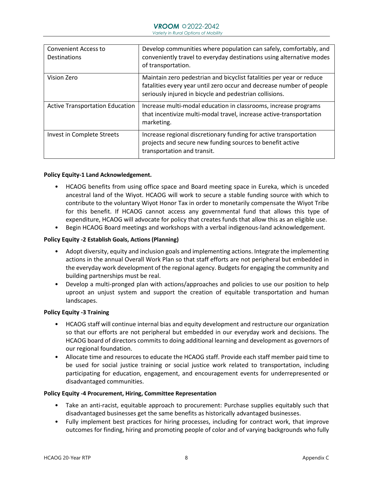| <b>Convenient Access to</b><br><b>Destinations</b> | Develop communities where population can safely, comfortably, and<br>conveniently travel to everyday destinations using alternative modes<br>of transportation.                                         |
|----------------------------------------------------|---------------------------------------------------------------------------------------------------------------------------------------------------------------------------------------------------------|
| Vision Zero                                        | Maintain zero pedestrian and bicyclist fatalities per year or reduce<br>fatalities every year until zero occur and decrease number of people<br>seriously injured in bicycle and pedestrian collisions. |
| <b>Active Transportation Education</b>             | Increase multi-modal education in classrooms, increase programs<br>that incentivize multi-modal travel, increase active-transportation<br>marketing.                                                    |
| Invest in Complete Streets                         | Increase regional discretionary funding for active transportation<br>projects and secure new funding sources to benefit active<br>transportation and transit.                                           |

#### **Policy Equity-1 Land Acknowledgement.**

- HCAOG benefits from using office space and Board meeting space in Eureka, which is unceded ancestral land of the Wiyot. HCAOG will work to secure a stable funding source with which to contribute to the voluntary Wiyot Honor Tax in order to monetarily compensate the Wiyot Tribe for this benefit. If HCAOG cannot access any governmental fund that allows this type of expenditure, HCAOG will advocate for policy that creates funds that allow this as an eligible use.
- Begin HCAOG Board meetings and workshops with a verbal indigenous-land acknowledgement.

#### **Policy Equity -2 Establish Goals, Actions (Planning)**

- Adopt diversity, equity and inclusion goals and implementing actions. Integrate the implementing actions in the annual Overall Work Plan so that staff efforts are not peripheral but embedded in the everyday work development of the regional agency. Budgets for engaging the community and building partnerships must be real.
- Develop a multi-pronged plan with actions/approaches and policies to use our position to help uproot an unjust system and support the creation of equitable transportation and human landscapes.

#### **Policy Equity -3 Training**

- HCAOG staff will continue internal bias and equity development and restructure our organization so that our efforts are not peripheral but embedded in our everyday work and decisions. The HCAOG board of directors commits to doing additional learning and development as governors of our regional foundation.
- Allocate time and resources to educate the HCAOG staff. Provide each staff member paid time to be used for social justice training or social justice work related to transportation, including participating for education, engagement, and encouragement events for underrepresented or disadvantaged communities.

#### **Policy Equity -4 Procurement, Hiring, Committee Representation**

- Take an anti-racist, equitable approach to procurement: Purchase supplies equitably such that disadvantaged businesses get the same benefits as historically advantaged businesses.
- Fully implement best practices for hiring processes, including for contract work, that improve outcomes for finding, hiring and promoting people of color and of varying backgrounds who fully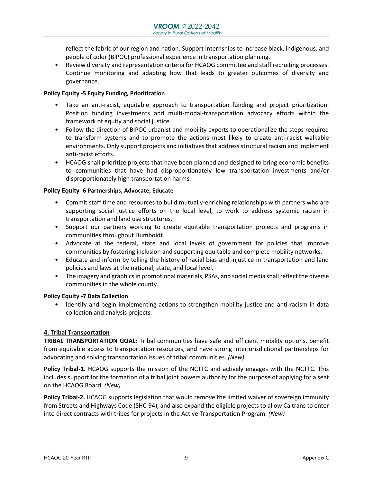reflect the fabric of our region and nation. Support internships to increase black, indigenous, and people of color (BIPOC) professional experience in transportation planning.

• Review diversity and representation criteria for HCAOG committee and staff recruiting processes. Continue monitoring and adapting how that leads to greater outcomes of diversity and governance.

#### **Policy Equity -5 Equity Funding, Prioritization**

- Take an anti-racist, equitable approach to transportation funding and project prioritization. Position funding investments and multi-modal-transportation advocacy efforts within the framework of equity and social justice.
- Follow the direction of BIPOC urbanist and mobility experts to operationalize the steps required to transform systems and to promote the actions most likely to create anti-racist walkable environments. Only support projects and initiatives that address structural racism and implement anti-racist efforts.
- HCAOG shall prioritize projects that have been planned and designed to bring economic benefits to communities that have had disproportionately low transportation investments and/or disproportionately high transportation harms.

#### **Policy Equity -6 Partnerships, Advocate, Educate**

- Commit staff time and resources to build mutually-enriching relationships with partners who are supporting social justice efforts on the local level, to work to address systemic racism in transportation and land use structures.
- Support our partners working to create equitable transportation projects and programs in communities throughout Humboldt.
- Advocate at the federal, state and local levels of government for policies that improve communities by fostering inclusion and supporting equitable and complete mobility networks.
- Educate and inform by telling the history of racial bias and injustice in transportation and land policies and laws at the national, state, and local level.
- The imagery and graphics in promotional materials, PSAs, and social media shall reflect the diverse communities in the whole county.

#### **Policy Equity -7 Data Collection**

• Identify and begin implementing actions to strengthen mobility justice and anti-racism in data collection and analysis projects.

#### **4. Tribal Transportation**

**TRIBAL TRANSPORTATION GOAL:** Tribal communities have safe and efficient mobility options, benefit from equitable access to transportation resources, and have strong interjurisdictional partnerships for advocating and solving transportation issues of tribal communities. *(New)*

**Policy Tribal-1.** HCAOG supports the mission of the NCTTC and actively engages with the NCTTC. This includes support for the formation of a tribal joint powers authority for the purpose of applying for a seat on the HCAOG Board. *(New)*

**Policy Tribal-2.** HCAOG supports legislation that would remove the limited waiver of sovereign immunity from Streets and Highways Code (SHC-94), and also expand the eligible projects to allow Caltrans to enter into direct contracts with tribes for projects in the Active Transportation Program. *(New)*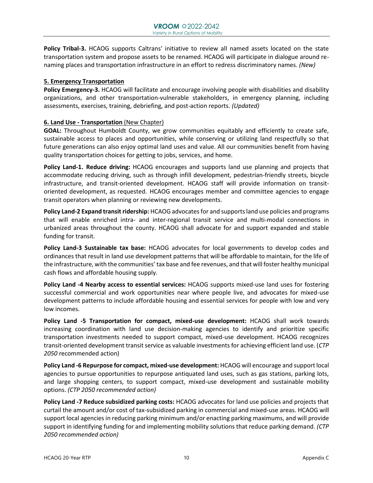**Policy Tribal-3.** HCAOG supports Caltrans' initiative to review all named assets located on the state transportation system and propose assets to be renamed. HCAOG will participate in dialogue around renaming places and transportation infrastructure in an effort to redress discriminatory names. *(New)*

#### **5. Emergency Transportation**

**Policy Emergency-3.** HCAOG will facilitate and encourage involving people with disabilities and disability organizations, and other transportation-vulnerable stakeholders, in emergency planning, including assessments, exercises, training, debriefing, and post-action reports. *(Updated)*

#### **6. Land Use - Transportation** (New Chapter)

**GOAL:** Throughout Humboldt County, we grow communities equitably and efficiently to create safe, sustainable access to places and opportunities, while conserving or utilizing land respectfully so that future generations can also enjoy optimal land uses and value. All our communities benefit from having quality transportation choices for getting to jobs, services, and home.

**Policy Land-1. Reduce driving:** HCAOG encourages and supports land use planning and projects that accommodate reducing driving, such as through infill development, pedestrian-friendly streets, bicycle infrastructure, and transit-oriented development. HCAOG staff will provide information on transitoriented development, as requested. HCAOG encourages member and committee agencies to engage transit operators when planning or reviewing new developments.

**Policy Land-2 Expand transit ridership:** HCAOG advocates for and supports land use policies and programs that will enable enriched intra- and inter-regional transit service and multi-modal connections in urbanized areas throughout the county. HCAOG shall advocate for and support expanded and stable funding for transit.

**Policy Land-3 Sustainable tax base:** HCAOG advocates for local governments to develop codes and ordinances that result in land use development patterns that will be affordable to maintain, for the life of the infrastructure, with the communities' tax base and fee revenues, and that will foster healthy municipal cash flows and affordable housing supply.

**Policy Land -4 Nearby access to essential services:** HCAOG supports mixed-use land uses for fostering successful commercial and work opportunities near where people live, and advocates for mixed-use development patterns to include affordable housing and essential services for people with low and very low incomes.

**Policy Land -5 Transportation for compact, mixed-use development:** HCAOG shall work towards increasing coordination with land use decision-making agencies to identify and prioritize specific transportation investments needed to support compact, mixed-use development. HCAOG recognizes transit-oriented development transit service as valuable investments for achieving efficient land use. (*CTP 2050* recommended action)

**Policy Land -6 Repurpose for compact, mixed-use development:** HCAOG will encourage and support local agencies to pursue opportunities to repurpose antiquated land uses, such as gas stations, parking lots, and large shopping centers, to support compact, mixed-use development and sustainable mobility options. *(CTP 2050 recommended action)* 

**Policy Land -7 Reduce subsidized parking costs:** HCAOG advocates for land use policies and projects that curtail the amount and/or cost of tax-subsidized parking in commercial and mixed-use areas. HCAOG will support local agencies in reducing parking minimum and/or enacting parking maximums, and will provide support in identifying funding for and implementing mobility solutions that reduce parking demand. *(CTP 2050 recommended action)*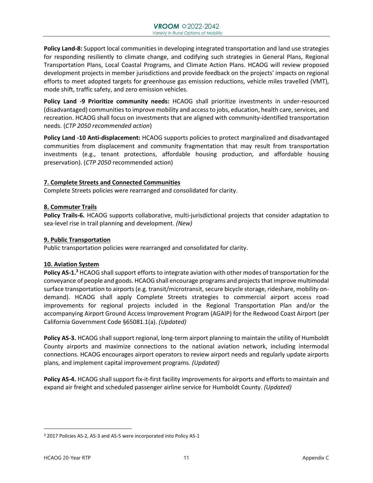**Policy Land-8:** Support local communities in developing integrated transportation and land use strategies for responding resiliently to climate change, and codifying such strategies in General Plans, Regional Transportation Plans, Local Coastal Programs, and Climate Action Plans. HCAOG will review proposed development projects in member jurisdictions and provide feedback on the projects' impacts on regional efforts to meet adopted targets for greenhouse gas emission reductions, vehicle miles travelled (VMT), mode shift, traffic safety, and zero emission vehicles.

**Policy Land -9 Prioritize community needs:** HCAOG shall prioritize investments in under-resourced (disadvantaged) communities to improve mobility and access to jobs, education, health care, services, and recreation. HCAOG shall focus on investments that are aligned with community-identified transportation needs. (*CTP 2050 recommended action*)

**Policy Land -10 Anti-displacement:** HCAOG supports policies to protect marginalized and disadvantaged communities from displacement and community fragmentation that may result from transportation investments (e.g., tenant protections, affordable housing production, and affordable housing preservation). (*CTP 2050* recommended action)

#### **7. Complete Streets and Connected Communities**

Complete Streets policies were rearranged and consolidated for clarity.

#### **8. Commuter Trails**

**Policy Trails-6.** HCAOG supports collaborative, multi-jurisdictional projects that consider adaptation to sea-level rise in trail planning and development. *(New)*

#### **9. Public Transportation**

Public transportation policies were rearranged and consolidated for clarity.

#### **10. Aviation System**

**Policy AS-1.<sup>3</sup>** HCAOG shall support efforts to integrate aviation with other modes of transportation for the conveyance of people and goods. HCAOG shall encourage programs and projects that improve multimodal surface transportation to airports (e.g. transit/microtransit, secure bicycle storage, rideshare, mobility ondemand). HCAOG shall apply Complete Streets strategies to commercial airport access road improvements for regional projects included in the Regional Transportation Plan and/or the accompanying Airport Ground Access Improvement Program (AGAIP) for the Redwood Coast Airport (per California Government Code §65081.1(a). *(Updated)*

**Policy AS-3.** HCAOG shall support regional, long-term airport planning to maintain the utility of Humboldt County airports and maximize connections to the national aviation network, including intermodal connections. HCAOG encourages airport operators to review airport needs and regularly update airports plans, and implement capital improvement programs. *(Updated)*

**Policy AS-4.** HCAOG shall support fix-it-first facility improvements for airports and efforts to maintain and expand air freight and scheduled passenger airline service for Humboldt County. *(Updated)*

<sup>3</sup> 2017 Policies AS-2, AS-3 and AS-5 were incorporated into Policy AS-1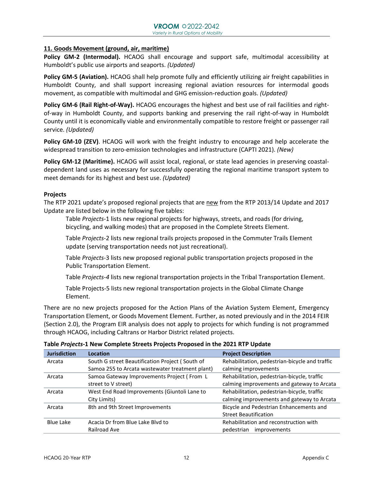#### **11. Goods Movement (ground, air, maritime)**

**Policy GM-2 (Intermodal).** HCAOG shall encourage and support safe, multimodal accessibility at Humboldt's public use airports and seaports. *(Updated)*

**Policy GM-5 (Aviation).** HCAOG shall help promote fully and efficiently utilizing air freight capabilities in Humboldt County, and shall support increasing regional aviation resources for intermodal goods movement, as compatible with multimodal and GHG emission-reduction goals. *(Updated)*

**Policy GM-6 (Rail Right-of-Way).** HCAOG encourages the highest and best use of rail facilities and rightof-way in Humboldt County, and supports banking and preserving the rail right-of-way in Humboldt County until it is economically viable and environmentally compatible to restore freight or passenger rail service. *(Updated)*

**Policy GM-10 (ZEV)**. HCAOG will work with the freight industry to encourage and help accelerate the widespread transition to zero-emission technologies and infrastructure (CAPTI 2021). *(New)*

**Policy GM-12 (Maritime).** HCAOG will assist local, regional, or state lead agencies in preserving coastaldependent land uses as necessary for successfully operating the regional maritime transport system to meet demands for its highest and best use. *(Updated)*

#### **Projects**

The RTP 2021 update's proposed regional projects that are new from the RTP 2013/14 Update and 2017 Update are listed below in the following five tables:

Table *Projects*-1 lists new regional projects for highways, streets, and roads (for driving, bicycling, and walking modes) that are proposed in the Complete Streets Element.

Table *Projects*-2 lists new regional trails projects proposed in the Commuter Trails Element update (serving transportation needs not just recreational).

Table *Projects*-3 lists new proposed regional public transportation projects proposed in the Public Transportation Element.

Table *Projects-4* lists new regional transportation projects in the Tribal Transportation Element.

Table Projects-5 lists new regional transportation projects in the Global Climate Change Element.

There are no new projects proposed for the Action Plans of the Aviation System Element, Emergency Transportation Element, or Goods Movement Element. Further, as noted previously and in the 2014 FEIR (Section 2.0), the Program EIR analysis does not apply to projects for which funding is not programmed through HCAOG, including Caltrans or Harbor District related projects.

| <b>Jurisdiction</b> | Location                                        | <b>Project Description</b>                     |
|---------------------|-------------------------------------------------|------------------------------------------------|
| Arcata              | South G street Beautification Project (South of | Rehabilitation, pedestrian-bicycle and traffic |
|                     | Samoa 255 to Arcata wastewater treatment plant) | calming improvements                           |
| Arcata              | Samoa Gateway Improvements Project (From L      | Rehabilitation, pedestrian-bicycle, traffic    |
|                     | street to V street)                             | calming improvements and gateway to Arcata     |
| Arcata              | West End Road Improvements (Giuntoli Lane to    | Rehabilitation, pedestrian-bicycle, traffic    |
|                     | City Limits)                                    | calming improvements and gateway to Arcata     |
| Arcata              | 8th and 9th Street Improvements                 | Bicycle and Pedestrian Enhancements and        |
|                     |                                                 | <b>Street Beautification</b>                   |
| Blue Lake           | Acacia Dr from Blue Lake Blyd to                | Rehabilitation and reconstruction with         |
|                     | Railroad Ave                                    | pedestrian<br>improvements                     |

#### **Table** *Projects***-1 New Complete Streets Projects Proposed in the 2021 RTP Update**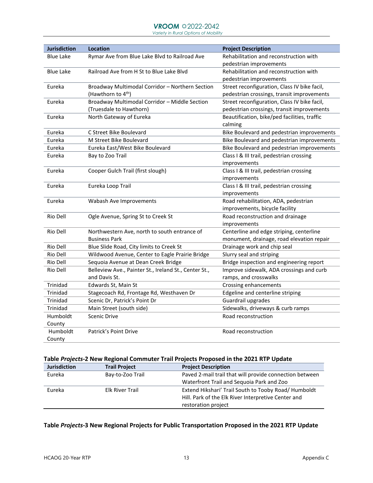#### **VROOM**  $\approx$  2022-2042

 *Variety in Rural Options of Mobility*

| <b>Jurisdiction</b> | <b>Location</b>                                       | <b>Project Description</b>                   |
|---------------------|-------------------------------------------------------|----------------------------------------------|
| <b>Blue Lake</b>    | Rymar Ave from Blue Lake Blvd to Railroad Ave         | Rehabilitation and reconstruction with       |
|                     |                                                       | pedestrian improvements                      |
| <b>Blue Lake</b>    | Railroad Ave from H St to Blue Lake Blvd              | Rehabilitation and reconstruction with       |
|                     |                                                       | pedestrian improvements                      |
| Eureka              | Broadway Multimodal Corridor - Northern Section       | Street reconfiguration, Class IV bike facil, |
|                     | (Hawthorn to 4 <sup>th</sup> )                        | pedestrian crossings, transit improvements   |
| Eureka              | Broadway Multimodal Corridor - Middle Section         | Street reconfiguration, Class IV bike facil, |
|                     | (Truesdale to Hawthorn)                               | pedestrian crossings, transit improvements   |
| Eureka              | North Gateway of Eureka                               | Beautification, bike/ped facilities, traffic |
|                     |                                                       | calming                                      |
| Eureka              | C Street Bike Boulevard                               | Bike Boulevard and pedestrian improvements   |
| Eureka              | M Street Bike Boulevard                               | Bike Boulevard and pedestrian improvements   |
| Eureka              | Eureka East/West Bike Boulevard                       | Bike Boulevard and pedestrian improvements   |
| Eureka              | Bay to Zoo Trail                                      | Class I & III trail, pedestrian crossing     |
|                     |                                                       | improvements                                 |
| Eureka              | Cooper Gulch Trail (first slough)                     | Class I & III trail, pedestrian crossing     |
|                     |                                                       | improvements                                 |
| Eureka              | Eureka Loop Trail                                     | Class I & III trail, pedestrian crossing     |
|                     |                                                       | improvements                                 |
| Eureka              | Wabash Ave Improvements                               | Road rehabilitation, ADA, pedestrian         |
|                     |                                                       | improvements, bicycle facility               |
| Rio Dell            | Ogle Avenue, Spring St to Creek St                    | Road reconstruction and drainage             |
|                     |                                                       | improvements                                 |
| Rio Dell            | Northwestern Ave, north to south entrance of          | Centerline and edge striping, centerline     |
|                     | <b>Business Park</b>                                  | monument, drainage, road elevation repair    |
| Rio Dell            | Blue Slide Road, City limits to Creek St              | Drainage work and chip seal                  |
| Rio Dell            | Wildwood Avenue, Center to Eagle Prairie Bridge       | Slurry seal and striping                     |
| Rio Dell            | Sequoia Avenue at Dean Creek Bridge                   | Bridge inspection and engineering report     |
| Rio Dell            | Belleview Ave., Painter St., Ireland St., Center St., | Improve sidewalk, ADA crossings and curb     |
|                     | and Davis St.                                         | ramps, and crosswalks                        |
| Trinidad            | Edwards St, Main St                                   | Crossing enhancements                        |
| Trinidad            | Stagecoach Rd, Frontage Rd, Westhaven Dr              | Edgeline and centerline striping             |
| Trinidad            | Scenic Dr, Patrick's Point Dr                         | Guardrail upgrades                           |
| Trinidad            | Main Street (south side)                              | Sidewalks, driveways & curb ramps            |
| Humboldt            | Scenic Drive                                          | Road reconstruction                          |
| County              |                                                       |                                              |
| Humboldt            | Patrick's Point Drive                                 | Road reconstruction                          |
| County              |                                                       |                                              |

#### **Table** *Projects***-2 New Regional Commuter Trail Projects Proposed in the 2021 RTP Update**

| <b>Jurisdiction</b> | <b>Trail Project</b>   | <b>Project Description</b>                              |
|---------------------|------------------------|---------------------------------------------------------|
| Eureka              | Bay-to-Zoo Trail       | Paved 2-mail trail that will provide connection between |
|                     |                        | Waterfront Trail and Sequoia Park and Zoo               |
| Eureka              | <b>Elk River Trail</b> | Extend Hikshari' Trail South to Tooby Road/Humboldt     |
|                     |                        | Hill. Park of the Elk River Interpretive Center and     |
|                     |                        | restoration project                                     |

#### **Table** *Projects***-3 New Regional Projects for Public Transportation Proposed in the 2021 RTP Update**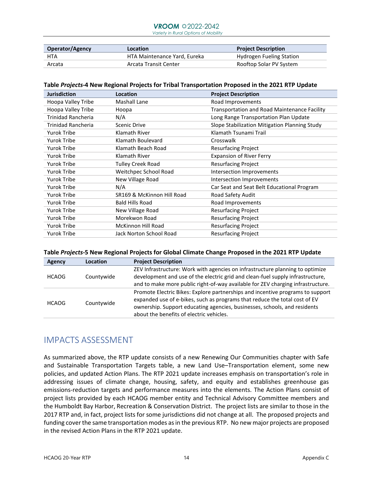## **VROOM**  $@2022-2042$

 *Variety in Rural Options of Mobility*

| <b>Operator/Agency</b> | Location                     | <b>Project Description</b>      |
|------------------------|------------------------------|---------------------------------|
| <b>HTA</b>             | HTA Maintenance Yard, Eureka | <b>Hydrogen Fueling Station</b> |
| Arcata                 | Arcata Transit Center        | Rooftop Solar PV System         |

#### **Table** *Projects***-4 New Regional Projects for Tribal Transportation Proposed in the 2021 RTP Update**

| <b>Jurisdiction</b> | Location                   | <b>Project Description</b>                    |
|---------------------|----------------------------|-----------------------------------------------|
| Hoopa Valley Tribe  | Mashall Lane               | Road Improvements                             |
| Hoopa Valley Tribe  | Hoopa                      | Transportation and Road Maintenance Facility  |
| Trinidad Rancheria  | N/A                        | Long Range Transportation Plan Update         |
| Trinidad Rancheria  | <b>Scenic Drive</b>        | Slope Stabilization Mitigation Planning Study |
| <b>Yurok Tribe</b>  | Klamath River              | Klamath Tsunami Trail                         |
| <b>Yurok Tribe</b>  | Klamath Boulevard          | Crosswalk                                     |
| Yurok Tribe         | Klamath Beach Road         | <b>Resurfacing Project</b>                    |
| Yurok Tribe         | Klamath River              | <b>Expansion of River Ferry</b>               |
| Yurok Tribe         | <b>Tulley Creek Road</b>   | <b>Resurfacing Project</b>                    |
| <b>Yurok Tribe</b>  | Weitchpec School Road      | Intersection Improvements                     |
| Yurok Tribe         | New Village Road           | Intersection Improvements                     |
| Yurok Tribe         | N/A                        | Car Seat and Seat Belt Educational Program    |
| Yurok Tribe         | SR169 & McKinnon Hill Road | Road Safety Audit                             |
| Yurok Tribe         | <b>Bald Hills Road</b>     | Road Improvements                             |
| Yurok Tribe         | New Village Road           | <b>Resurfacing Project</b>                    |
| Yurok Tribe         | Morekwon Road              | <b>Resurfacing Project</b>                    |
| Yurok Tribe         | McKinnon Hill Road         | <b>Resurfacing Project</b>                    |
| <b>Yurok Tribe</b>  | Jack Norton School Road    | <b>Resurfacing Project</b>                    |

#### **Table** *Projects***-5 New Regional Projects for Global Climate Change Proposed in the 2021 RTP Update**

| Agency                     | Location   | <b>Project Description</b>                                                                                                                                   |
|----------------------------|------------|--------------------------------------------------------------------------------------------------------------------------------------------------------------|
|                            |            | ZEV Infrastructure: Work with agencies on infrastructure planning to optimize                                                                                |
| Countywide<br><b>HCAOG</b> |            | development and use of the electric grid and clean-fuel supply infrastructure,                                                                               |
|                            |            | and to make more public right-of-way available for ZEV charging infrastructure.                                                                              |
|                            |            | Promote Electric Bikes: Explore partnerships and incentive programs to support<br>expanded use of e-bikes, such as programs that reduce the total cost of EV |
| <b>HCAOG</b>               | Countywide | ownership. Support educating agencies, businesses, schools, and residents<br>about the benefits of electric vehicles.                                        |

## IMPACTS ASSESSMENT

As summarized above, the RTP update consists of a new Renewing Our Communities chapter with Safe and Sustainable Transportation Targets table, a new Land Use–Transportation element, some new policies, and updated Action Plans. The RTP 2021 update increases emphasis on transportation's role in addressing issues of climate change, housing, safety, and equity and establishes greenhouse gas emissions-reduction targets and performance measures into the elements. The Action Plans consist of project lists provided by each HCAOG member entity and Technical Advisory Committee members and the Humboldt Bay Harbor, Recreation & Conservation District. The project lists are similar to those in the 2017 RTP and, in fact, project lists for some jurisdictions did not change at all. The proposed projects and funding cover the same transportation modes as in the previous RTP. No new major projects are proposed in the revised Action Plans in the RTP 2021 update.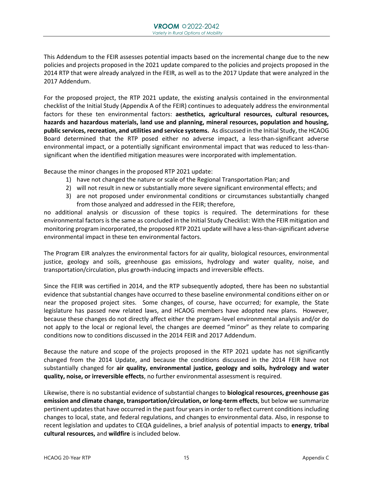This Addendum to the FEIR assesses potential impacts based on the incremental change due to the new policies and projects proposed in the 2021 update compared to the policies and projects proposed in the 2014 RTP that were already analyzed in the FEIR, as well as to the 2017 Update that were analyzed in the 2017 Addendum.

For the proposed project, the RTP 2021 update, the existing analysis contained in the environmental checklist of the Initial Study (Appendix A of the FEIR) continues to adequately address the environmental factors for these ten environmental factors: **aesthetics, agricultural resources, cultural resources, hazards and hazardous materials, land use and planning, mineral resources, population and housing, public services, recreation, and utilities and service systems.** As discussed in the Initial Study, the HCAOG Board determined that the RTP posed either no adverse impact, a less-than-significant adverse environmental impact, or a potentially significant environmental impact that was reduced to less-thansignificant when the identified mitigation measures were incorporated with implementation.

Because the minor changes in the proposed RTP 2021 update:

- 1) have not changed the nature or scale of the Regional Transportation Plan; and
- 2) will not result in new or substantially more severe significant environmental effects; and
- 3) are not proposed under environmental conditions or circumstances substantially changed from those analyzed and addressed in the FEIR; therefore,

no additional analysis or discussion of these topics is required. The determinations for these environmental factors is the same as concluded in the Initial Study Checklist: With the FEIR mitigation and monitoring program incorporated, the proposed RTP 2021 update will have a less-than-significant adverse environmental impact in these ten environmental factors.

The Program EIR analyzes the environmental factors for air quality, biological resources, environmental justice, geology and soils, greenhouse gas emissions, hydrology and water quality, noise, and transportation/circulation, plus growth-inducing impacts and irreversible effects.

Since the FEIR was certified in 2014, and the RTP subsequently adopted, there has been no substantial evidence that substantial changes have occurred to these baseline environmental conditions either on or near the proposed project sites. Some changes, of course, have occurred; for example, the State legislature has passed new related laws, and HCAOG members have adopted new plans. However, because these changes do not directly affect either the program-level environmental analysis and/or do not apply to the local or regional level, the changes are deemed "minor" as they relate to comparing conditions now to conditions discussed in the 2014 FEIR and 2017 Addendum.

Because the nature and scope of the projects proposed in the RTP 2021 update has not significantly changed from the 2014 Update, and because the conditions discussed in the 2014 FEIR have not substantially changed for **air quality, environmental justice, geology and soils, hydrology and water quality, noise, or irreversible effects**, no further environmental assessment is required.

Likewise, there is no substantial evidence of substantial changes to **biological resources, greenhouse gas emission and climate change, transportation/circulation, or long-term effects**, but below we summarize pertinent updates that have occurred in the past four years in order to reflect current conditionsincluding changes to local, state, and federal regulations, and changes to environmental data. Also, in response to recent legislation and updates to CEQA guidelines, a brief analysis of potential impacts to **energy**, **tribal cultural resources,** and **wildfire** is included below.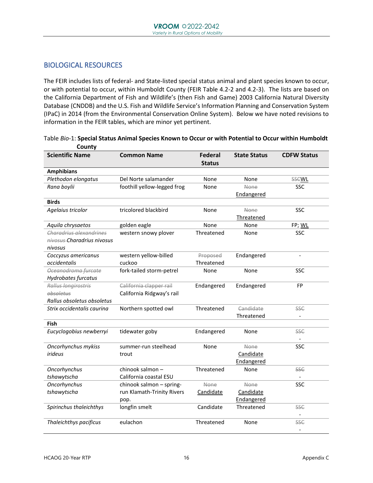#### BIOLOGICAL RESOURCES

The FEIR includes lists of federal- and State-listed special status animal and plant species known to occur, or with potential to occur, within Humboldt County (FEIR Table 4.2-2 and 4.2-3). The lists are based on the California Department of Fish and Wildlife's (then Fish and Game) 2003 California Natural Diversity Database (CNDDB) and the U.S. Fish and Wildlife Service's Information Planning and Conservation System (IPaC) in 2014 (from the Environmental Conservation Online System). Below we have noted revisions to information in the FEIR tables, which are minor yet pertinent.

| County<br><b>Scientific Name</b> | <b>Common Name</b>          | Federal       | <b>State Status</b> | <b>CDFW Status</b> |
|----------------------------------|-----------------------------|---------------|---------------------|--------------------|
|                                  |                             | <b>Status</b> |                     |                    |
| <b>Amphibians</b>                |                             |               |                     |                    |
| Plethodon elongatus              | Del Norte salamander        | None          | None                | <b>SSCWL</b>       |
| Rana boylii                      | foothill yellow-legged frog | None          | None                | <b>SSC</b>         |
|                                  |                             |               | Endangered          |                    |
| <b>Birds</b>                     |                             |               |                     |                    |
| Agelaius tricolor                | tricolored blackbird        | None          | <b>None</b>         | SSC                |
|                                  |                             |               | Threatened          |                    |
| Aquila chrysaetos                | golden eagle                | None          | None                | FP; WL             |
| Charadrius alexandrines          | western snowy plover        | Threatened    | None                | <b>SSC</b>         |
| nivosus-Charadrius nivosus       |                             |               |                     |                    |
| nivosus                          |                             |               |                     |                    |
| Coccyzus americanus              | western yellow-billed       | Proposed      | Endangered          | $\blacksquare$     |
| occidentalis                     | cuckoo                      | Threatened    |                     |                    |
| Oceanodroma furcate              | fork-tailed storm-petrel    | None          | None                | SSC                |
| Hydrobates furcatus              |                             |               |                     |                    |
| Rallus longirostris              | California clapper rail     | Endangered    | Endangered          | FP                 |
| obsoletus                        | California Ridgway's rail   |               |                     |                    |
| Rallus obsoletus obsoletus       |                             |               |                     |                    |
| Strix occidentalis caurina       | Northern spotted owl        | Threatened    | Candidate           | <b>SSC</b>         |
|                                  |                             |               | Threatened          |                    |
| Fish                             |                             |               |                     |                    |
| Eucyclogobius newberryi          | tidewater goby              | Endangered    | None                | <b>SSC</b>         |
|                                  |                             |               |                     |                    |
| Oncorhynchus mykiss              | summer-run steelhead        | None          | <b>None</b>         | <b>SSC</b>         |
| irideus                          | trout                       |               | Candidate           |                    |
|                                  |                             |               | Endangered          |                    |
| Oncorhynchus                     | chinook salmon-             | Threatened    | None                | <b>SSC</b>         |
| tshawytscha                      | California coastal ESU      |               |                     |                    |
| Oncorhynchus                     | chinook salmon - spring-    | <b>None</b>   | <b>None</b>         | SSC                |
| tshawytscha                      | run Klamath-Trinity Rivers  | Candidate     | Candidate           |                    |
|                                  | pop.                        |               | Endangered          |                    |
| Spirinchus thaleichthys          | longfin smelt               | Candidate     | Threatened          | <b>SSC</b>         |
|                                  |                             |               |                     |                    |
| Thaleichthys pacificus           | eulachon                    | Threatened    | None                | <b>SSC</b>         |
|                                  |                             |               |                     | $\sim$             |

Table *Bio*-1: **Special Status Animal Species Known to Occur or with Potential to Occur within Humboldt County**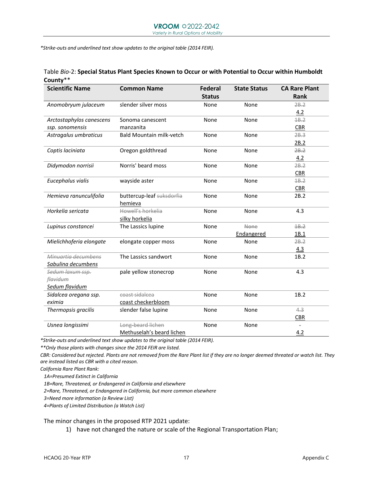*\*Strike-outs and underlined text show updates to the original table (2014 FEIR).* 

| <b>Scientific Name</b>   | <b>Common Name</b>              | <b>Federal</b> | <b>State Status</b> | <b>CA Rare Plant</b> |
|--------------------------|---------------------------------|----------------|---------------------|----------------------|
|                          |                                 | <b>Status</b>  |                     | Rank                 |
| Anomobryum julaceum      | slender silver moss             | None           | None                | 2B.2                 |
|                          |                                 |                |                     | 4.2                  |
| Arctostaphylos canescens | Sonoma canescent                | None           | None                | 18.2                 |
| ssp. sonomensis          | manzanita                       |                |                     | <b>CBR</b>           |
| Astragalus umbraticus    | <b>Bald Mountain milk-vetch</b> | None           | None                | 2B.3                 |
|                          |                                 |                |                     | 2B.2                 |
| Coptis laciniata         | Oregon goldthread               | None           | None                | 2B.2                 |
|                          |                                 |                |                     | 4.2                  |
| Didymodon norrisii       | Norris' beard moss              | None           | None                | 2B.2                 |
|                          |                                 |                |                     | <b>CBR</b>           |
| Eucephalus vialis        | wayside aster                   | None           | None                | 48.2                 |
|                          |                                 |                |                     | <b>CBR</b>           |
| Hemieva ranunculifolia   | buttercup-leaf suksdorfia       | None           | None                | 2B.2                 |
|                          | hemieva                         |                |                     |                      |
| Horkelia sericata        | Howell's horkelia               | None           | None                | 4.3                  |
|                          | silky horkelia                  |                |                     |                      |
| Lupinus constancei       | The Lassics lupine              | None           | None                | 4B.2                 |
|                          |                                 |                | Endangered          | 1B.1                 |
| Mielichhoferia elongate  | elongate copper moss            | None           | None                | 2B.2                 |
|                          |                                 |                |                     | 4.3                  |
| Minuartia decumbens      | The Lassics sandwort            | None           | None                | 1B.2                 |
| Sabulina decumbens       |                                 |                |                     |                      |
| Sedum laxum ssp.         | pale yellow stonecrop           | None           | None                | 4.3                  |
| flavidum                 |                                 |                |                     |                      |
| Sedum flavidum           |                                 |                |                     |                      |
| Sidalcea oregana ssp.    | coast sidalcea                  | None           | None                | 1B.2                 |
| eximia                   | coast checkerbloom              |                |                     |                      |
| Thermopsis gracilis      | slender false lupine            | None           | None                | 4.3                  |
|                          |                                 |                |                     | <b>CBR</b>           |
| Usnea longissimi         | Long-beard lichen               | None           | None                |                      |
|                          | Methuselah's beard lichen       |                |                     | 4.2                  |

Table *Bio*-2: **Special Status Plant Species Known to Occur or with Potential to Occur within Humboldt County**\*\*

*\*Strike-outs and underlined text show updates to the original table (2014 FEIR).* 

*\*\*Only those plants with changes since the 2014 FEIR are listed.* 

*CBR: Considered but rejected. Plants are not removed from the Rare Plant list if they are no longer deemed threated or watch list. They are instead listed as CBR with a cited reason.* 

*California Rare Plant Rank:*

*1A=Presumed Extinct in California*

*1B=Rare, Threatened, or Endangered in California and elsewhere*

*2=Rare, Threatened, or Endangered in California, but more common elsewhere*

*3=Need more information (a Review List)*

*4=Plants of Limited Distribution (a Watch List)* 

The minor changes in the proposed RTP 2021 update:

1) have not changed the nature or scale of the Regional Transportation Plan;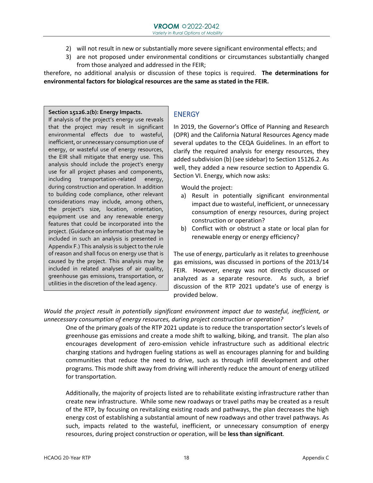- 2) will not result in new or substantially more severe significant environmental effects; and
- 3) are not proposed under environmental conditions or circumstances substantially changed from those analyzed and addressed in the FEIR;

therefore, no additional analysis or discussion of these topics is required. **The determinations for environmental factors for biological resources are the same as stated in the FEIR.** 

#### **Section 15126.2(b): Energy Impacts.**

If analysis of the project's energy use reveals that the project may result in significant environmental effects due to wasteful, inefficient, or unnecessary consumption use of energy, or wasteful use of energy resources, the EIR shall mitigate that energy use. This analysis should include the project's energy use for all project phases and components, including transportation-related energy, during construction and operation. In addition to building code compliance, other relevant considerations may include, among others, the project's size, location, orientation, equipment use and any renewable energy features that could be incorporated into the project. (Guidance on information that may be included in such an analysis is presented in Appendix F.) This analysis is subject to the rule of reason and shall focus on energy use that is caused by the project. This analysis may be included in related analyses of air quality, greenhouse gas emissions, transportation, or utilities in the discretion of the lead agency.

#### **ENERGY**

In 2019, the Governor's Office of Planning and Research (OPR) and the California Natural Resources Agency made several updates to the CEQA Guidelines. In an effort to clarify the required analysis for energy resources, they added subdivision (b) (see sidebar) to Section 15126.2. As well, they added a new resource section to Appendix G. Section VI. Energy, which now asks:

Would the project:

- a) Result in potentially significant environmental impact due to wasteful, inefficient, or unnecessary consumption of energy resources, during project construction or operation?
- b) Conflict with or obstruct a state or local plan for renewable energy or energy efficiency?

The use of energy, particularly as it relates to greenhouse gas emissions, was discussed in portions of the 2013/14 FEIR. However, energy was not directly discussed or analyzed as a separate resource. As such, a brief discussion of the RTP 2021 update's use of energy is provided below.

*Would the project result in potentially significant environment impact due to wasteful, inefficient, or unnecessary consumption of energy resources, during project construction or operation?*

One of the primary goals of the RTP 2021 update is to reduce the transportation sector's levels of greenhouse gas emissions and create a mode shift to walking, biking, and transit. The plan also encourages development of zero-emission vehicle infrastructure such as additional electric charging stations and hydrogen fueling stations as well as encourages planning for and building communities that reduce the need to drive, such as through infill development and other programs. This mode shift away from driving will inherently reduce the amount of energy utilized for transportation.

Additionally, the majority of projects listed are to rehabilitate existing infrastructure rather than create new infrastructure. While some new roadways or travel paths may be created as a result of the RTP, by focusing on revitalizing existing roads and pathways, the plan decreases the high energy cost of establishing a substantial amount of new roadways and other travel pathways. As such, impacts related to the wasteful, inefficient, or unnecessary consumption of energy resources, during project construction or operation, will be **less than significant**.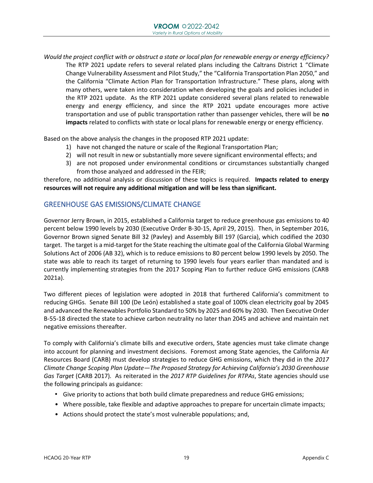*Would the project conflict with or obstruct a state or local plan for renewable energy or energy efficiency?* The RTP 2021 update refers to several related plans including the Caltrans District 1 "Climate Change Vulnerability Assessment and Pilot Study," the "California Transportation Plan 2050," and the California "Climate Action Plan for Transportation Infrastructure." These plans, along with many others, were taken into consideration when developing the goals and policies included in the RTP 2021 update. As the RTP 2021 update considered several plans related to renewable energy and energy efficiency, and since the RTP 2021 update encourages more active transportation and use of public transportation rather than passenger vehicles, there will be **no impacts** related to conflicts with state or local plans for renewable energy or energy efficiency.

Based on the above analysis the changes in the proposed RTP 2021 update:

- 1) have not changed the nature or scale of the Regional Transportation Plan;
- 2) will not result in new or substantially more severe significant environmental effects; and
- 3) are not proposed under environmental conditions or circumstances substantially changed from those analyzed and addressed in the FEIR;

therefore, no additional analysis or discussion of these topics is required. **Impacts related to energy resources will not require any additional mitigation and will be less than significant.**

#### GREENHOUSE GAS EMISSIONS/CLIMATE CHANGE

Governor Jerry Brown, in 2015, established a California target to reduce greenhouse gas emissions to 40 percent below 1990 levels by 2030 (Executive Order B-30-15, April 29, 2015). Then, in September 2016, Governor Brown signed Senate Bill 32 (Pavley) and Assembly Bill 197 (Garcia), which codified the 2030 target. The target is a mid-target for the State reaching the ultimate goal of the California Global Warming Solutions Act of 2006 (AB 32), which is to reduce emissions to 80 percent below 1990 levels by 2050. The state was able to reach its target of returning to 1990 levels four years earlier than mandated and is currently implementing strategies from the 2017 Scoping Plan to further reduce GHG emissions (CARB 2021a).

Two different pieces of legislation were adopted in 2018 that furthered California's commitment to reducing GHGs. Senate Bill 100 (De León) established a state goal of 100% clean electricity goal by 2045 and advanced the Renewables Portfolio Standard to 50% by 2025 and 60% by 2030. Then Executive Order B-55-18 directed the state to achieve carbon neutrality no later than 2045 and achieve and maintain net negative emissions thereafter.

To comply with California's climate bills and executive orders, State agencies must take climate change into account for planning and investment decisions. Foremost among State agencies, the California Air Resources Board (CARB) must develop strategies to reduce GHG emissions, which they did in the *2017 Climate Change Scoping Plan Update—The Proposed Strategy for Achieving California's 2030 Greenhouse Gas Target* (CARB 2017)*.* As reiterated in the *2017 RTP Guidelines for RTPAs*, State agencies should use the following principals as guidance:

- Give priority to actions that both build climate preparedness and reduce GHG emissions;
- Where possible, take flexible and adaptive approaches to prepare for uncertain climate impacts;
- Actions should protect the state's most vulnerable populations; and,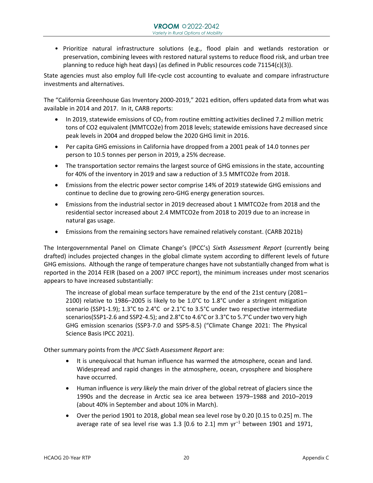• Prioritize natural infrastructure solutions (e.g., flood plain and wetlands restoration or preservation, combining levees with restored natural systems to reduce flood risk, and urban tree planning to reduce high heat days) (as defined in Public resources code 71154(c)(3)).

State agencies must also employ full life-cycle cost accounting to evaluate and compare infrastructure investments and alternatives.

The "California Greenhouse Gas Inventory 2000-2019," 2021 edition, offers updated data from what was available in 2014 and 2017. In it, CARB reports:

- In 2019, statewide emissions of  $CO<sub>2</sub>$  from routine emitting activities declined 7.2 million metric tons of CO2 equivalent (MMTCO2e) from 2018 levels; statewide emissions have decreased since peak levels in 2004 and dropped below the 2020 GHG limit in 2016.
- Per capita GHG emissions in California have dropped from a 2001 peak of 14.0 tonnes per person to 10.5 tonnes per person in 2019, a 25% decrease.
- The transportation sector remains the largest source of GHG emissions in the state, accounting for 40% of the inventory in 2019 and saw a reduction of 3.5 MMTCO2e from 2018.
- Emissions from the electric power sector comprise 14% of 2019 statewide GHG emissions and continue to decline due to growing zero-GHG energy generation sources.
- Emissions from the industrial sector in 2019 decreased about 1 MMTCO2e from 2018 and the residential sector increased about 2.4 MMTCO2e from 2018 to 2019 due to an increase in natural gas usage.
- Emissions from the remaining sectors have remained relatively constant. (CARB 2021b)

The Intergovernmental Panel on Climate Change's (IPCC's) *Sixth Assessment Report* (currently being drafted) includes projected changes in the global climate system according to different levels of future GHG emissions. Although the range of temperature changes have not substantially changed from what is reported in the 2014 FEIR (based on a 2007 IPCC report), the minimum increases under most scenarios appears to have increased substantially:

The increase of global mean surface temperature by the end of the 21st century (2081– 2100) relative to 1986–2005 is likely to be 1.0°C to 1.8°C under a stringent mitigation scenario (SSP1-1.9); 1.3°C to 2.4°C or 2.1°C to 3.5°C under two respective intermediate scenarios(SSP1-2.6 and SSP2-4.5); and 2.8°C to 4.6°C or 3.3°C to 5.7°C under two very high GHG emission scenarios (SSP3-7.0 and SSP5-8.5) ("Climate Change 2021: The Physical Science Basis IPCC 2021).

Other summary points from the *IPCC Sixth Assessment Report* are:

- It is unequivocal that human influence has warmed the atmosphere, ocean and land. Widespread and rapid changes in the atmosphere, ocean, cryosphere and biosphere have occurred.
- Human influence is *very likely* the main driver of the global retreat of glaciers since the 1990s and the decrease in Arctic sea ice area between 1979–1988 and 2010–2019 (about 40% in September and about 10% in March).
- Over the period 1901 to 2018, global mean sea level rose by 0.20 [0.15 to 0.25] m. The average rate of sea level rise was 1.3  $[0.6 \text{ to } 2.1]$  mm  $\text{yr}^{-1}$  between 1901 and 1971,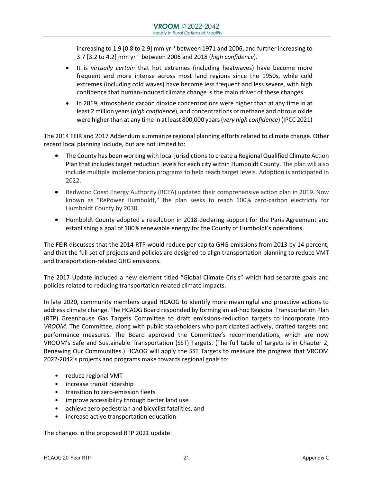increasing to 1.9 [0.8 to 2.9] mm  $yr^{-1}$  between 1971 and 2006, and further increasing to 3.7 [3.2 to 4.2] mm yr–<sup>1</sup> between 2006 and 2018 (*high confidence*).

- It is *virtually certain* that hot extremes (including heatwaves) have become more frequent and more intense across most land regions since the 1950s, while cold extremes (including cold waves) have become less frequent and less severe, with high confidence that human-induced climate change is the main driver of these changes.
- In 2019, atmospheric carbon dioxide concentrations were higher than at any time in at least 2 million years (*high confidence*), and concentrations of methane and nitrous oxide were higher than at any time in at least 800,000 years (*very high confidence*) (IPCC 2021)

The 2014 FEIR and 2017 Addendum summarize regional planning efforts related to climate change. Other recent local planning include, but are not limited to:

- The County has been working with local jurisdictions to create a Regional Qualified Climate Action Plan that includes target reduction levels for each city within Humboldt County. The plan will also include multiple implementation programs to help reach target levels. Adoption is anticipated in 2022.
- Redwood Coast Energy Authority (RCEA) updated their comprehensive action plan in 2019. Now known as "RePower Humboldt," the plan seeks to reach 100% zero-carbon electricity for Humboldt County by 2030.
- Humboldt County adopted a resolution in 2018 declaring support for the Paris Agreement and establishing a goal of 100% renewable energy for the County of Humboldt's operations.

The FEIR discusses that the 2014 RTP would reduce per capita GHG emissions from 2013 by 14 percent, and that the full set of projects and policies are designed to align transportation planning to reduce VMT and transportation-related GHG emissions.

The 2017 Update included a new element titled "Global Climate Crisis" which had separate goals and policies related to reducing transportation related climate impacts.

In late 2020, community members urged HCAOG to identify more meaningful and proactive actions to address climate change. The HCAOG Board responded by forming an ad-hoc Regional Transportation Plan (RTP) Greenhouse Gas Targets Committee to draft emissions-reduction targets to incorporate into *VROOM*. The Committee, along with public stakeholders who participated actively, drafted targets and performance measures. The Board approved the Committee's recommendations, which are now VROOM's Safe and Sustainable Transportation (SST) Targets. (The full table of targets is in Chapter 2, Renewing Our Communities.) HCAOG will apply the SST Targets to measure the progress that VROOM 2022-2042's projects and programs make towards regional goals to:

- reduce regional VMT
- increase transit ridership
- transition to zero-emission fleets
- improve accessibility through better land use
- achieve zero pedestrian and bicyclist fatalities, and
- increase active transportation education

The changes in the proposed RTP 2021 update: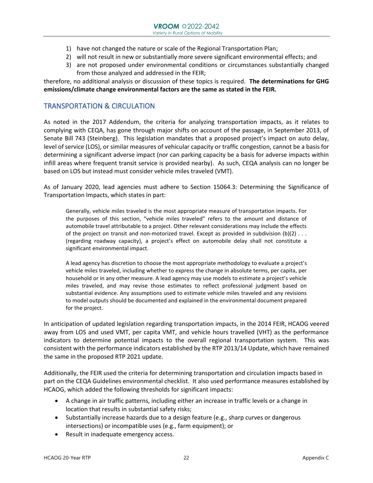- 1) have not changed the nature or scale of the Regional Transportation Plan;
- 2) will not result in new or substantially more severe significant environmental effects; and
- 3) are not proposed under environmental conditions or circumstances substantially changed from those analyzed and addressed in the FEIR;

therefore, no additional analysis or discussion of these topics is required. **The determinations for GHG emissions/climate change environmental factors are the same as stated in the FEIR.** 

#### TRANSPORTATION & CIRCULATION

As noted in the 2017 Addendum, the criteria for analyzing transportation impacts, as it relates to complying with CEQA, has gone through major shifts on account of the passage, in September 2013, of Senate Bill 743 (Steinberg). This legislation mandates that a proposed project's impact on auto delay, level of service (LOS), or similar measures of vehicular capacity or traffic congestion, cannot be a basis for determining a significant adverse impact (nor can parking capacity be a basis for adverse impacts within infill areas where frequent transit service is provided nearby). As such, CEQA analysis can no longer be based on LOS but instead must consider vehicle miles traveled (VMT).

As of January 2020, lead agencies must adhere to Section 15064.3: Determining the Significance of Transportation Impacts, which states in part:

Generally, vehicle miles traveled is the most appropriate measure of transportation impacts. For the purposes of this section, "vehicle miles traveled" refers to the amount and distance of automobile travel attributable to a project. Other relevant considerations may include the effects of the project on transit and non-motorized travel. Except as provided in subdivision  $(b)(2)$ ... (regarding roadway capacity), a project's effect on automobile delay shall not constitute a significant environmental impact.

A lead agency has discretion to choose the most appropriate methodology to evaluate a project's vehicle miles traveled, including whether to express the change in absolute terms, per capita, per household or in any other measure. A lead agency may use models to estimate a project's vehicle miles traveled, and may revise those estimates to reflect professional judgment based on substantial evidence. Any assumptions used to estimate vehicle miles traveled and any revisions to model outputs should be documented and explained in the environmental document prepared for the project.

In anticipation of updated legislation regarding transportation impacts, in the 2014 FEIR, HCAOG veered away from LOS and used VMT, per capita VMT, and vehicle hours travelled (VHT) as the performance indicators to determine potential impacts to the overall regional transportation system. This was consistent with the performance indicators established by the RTP 2013/14 Update, which have remained the same in the proposed RTP 2021 update.

Additionally, the FEIR used the criteria for determining transportation and circulation impacts based in part on the CEQA Guidelines environmental checklist. It also used performance measures established by HCAOG, which added the following thresholds for significant impacts:

- A change in air traffic patterns, including either an increase in traffic levels or a change in location that results in substantial safety risks;
- Substantially increase hazards due to a design feature (e.g., sharp curves or dangerous intersections) or incompatible uses (e.g., farm equipment); or
- Result in inadequate emergency access.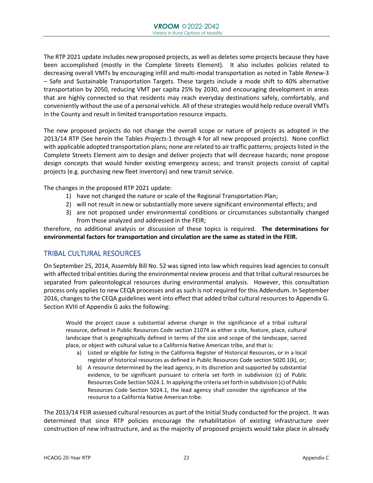The RTP 2021 update includes new proposed projects, as well as deletes some projects because they have been accomplished (mostly in the Complete Streets Element). It also includes policies related to decreasing overall VMTs by encouraging infill and multi-modal transportation as noted in Table *Renew*-3 – Safe and Sustainable Transportation Targets. These targets include a mode shift to 40% alternative transportation by 2050, reducing VMT per capita 25% by 2030, and encouraging development in areas that are highly connected so that residents may reach everyday destinations safely, comfortably, and conveniently without the use of a personal vehicle. All of these strategies would help reduce overall VMTs in the County and result in limited transportation resource impacts.

The new proposed projects do not change the overall scope or nature of projects as adopted in the 2013/14 RTP (See herein the Tables *Projects*-1 through 4 for all new proposed projects). None conflict with applicable adopted transportation plans; none are related to air traffic patterns; projects listed in the Complete Streets Element aim to design and deliver projects that will decrease hazards; none propose design concepts that would hinder existing emergency access; and transit projects consist of capital projects (e.g. purchasing new fleet inventory) and new transit service.

The changes in the proposed RTP 2021 update:

- 1) have not changed the nature or scale of the Regional Transportation Plan;
- 2) will not result in new or substantially more severe significant environmental effects; and
- 3) are not proposed under environmental conditions or circumstances substantially changed from those analyzed and addressed in the FEIR;

therefore, no additional analysis or discussion of these topics is required. **The determinations for environmental factors for transportation and circulation are the same as stated in the FEIR.**

#### TRIBAL CULTURAL RESOURCES

On September 25, 2014, Assembly Bill No. 52 was signed into law which requires lead agencies to consult with affected tribal entities during the environmental review process and that tribal cultural resources be separated from paleontological resources during environmental analysis. However, this consultation process only applies to new CEQA processes and as such is not required for this Addendum. In September 2016, changes to the CEQA guidelines went into effect that added tribal cultural resources to Appendix G. Section XVIII of Appendix G asks the following:

Would the project cause a substantial adverse change in the significance of a tribal cultural resource, defined in Public Resources Code section 21074 as either a site, feature, place, cultural landscape that is geographically defined in terms of the size and scope of the landscape, sacred place, or object with cultural value to a California Native American tribe, and that is:

- a) Listed or eligible for listing in the California Register of Historical Resources, or in a local register of historical resources as defined in Public Resources Code section 5020.1(k), or;
- b) A resource determined by the lead agency, in its discretion and supported by substantial evidence, to be significant pursuant to criteria set forth in subdivision (c) of Public Resources Code Section 5024.1. In applying the criteria set forth in subdivision (c) of Public Resources Code Section 5024.1, the lead agency shall consider the significance of the resource to a California Native American tribe.

The 2013/14 FEIR assessed cultural resources as part of the Initial Study conducted for the project. It was determined that since RTP policies encourage the rehabilitation of existing infrastructure over construction of new infrastructure, and as the majority of proposed projects would take place in already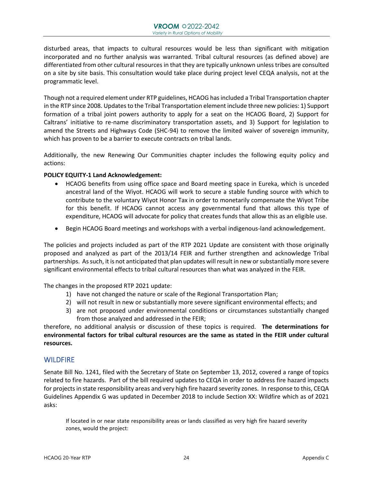disturbed areas, that impacts to cultural resources would be less than significant with mitigation incorporated and no further analysis was warranted. Tribal cultural resources (as defined above) are differentiated from other cultural resources in that they are typically unknown unless tribes are consulted on a site by site basis. This consultation would take place during project level CEQA analysis, not at the programmatic level.

Though not a required element under RTP guidelines, HCAOG has included a Tribal Transportation chapter in the RTP since 2008. Updates to the Tribal Transportation element include three new policies: 1) Support formation of a tribal joint powers authority to apply for a seat on the HCAOG Board, 2) Support for Caltrans' initiative to re-name discriminatory transportation assets, and 3) Support for legislation to amend the Streets and Highways Code (SHC-94) to remove the limited waiver of sovereign immunity, which has proven to be a barrier to execute contracts on tribal lands.

Additionally, the new Renewing Our Communities chapter includes the following equity policy and actions:

#### **POLICY EQUITY-1 Land Acknowledgement:**

- HCAOG benefits from using office space and Board meeting space in Eureka, which is unceded ancestral land of the Wiyot. HCAOG will work to secure a stable funding source with which to contribute to the voluntary Wiyot Honor Tax in order to monetarily compensate the Wiyot Tribe for this benefit. If HCAOG cannot access any governmental fund that allows this type of expenditure, HCAOG will advocate for policy that creates funds that allow this as an eligible use.
- Begin HCAOG Board meetings and workshops with a verbal indigenous-land acknowledgement.

The policies and projects included as part of the RTP 2021 Update are consistent with those originally proposed and analyzed as part of the 2013/14 FEIR and further strengthen and acknowledge Tribal partnerships. As such, it is not anticipated that plan updates will result in new or substantially more severe significant environmental effects to tribal cultural resources than what was analyzed in the FEIR.

The changes in the proposed RTP 2021 update:

- 1) have not changed the nature or scale of the Regional Transportation Plan;
- 2) will not result in new or substantially more severe significant environmental effects; and
- 3) are not proposed under environmental conditions or circumstances substantially changed from those analyzed and addressed in the FEIR;

therefore, no additional analysis or discussion of these topics is required. **The determinations for environmental factors for tribal cultural resources are the same as stated in the FEIR under cultural resources.**

#### **WILDFIRE**

Senate Bill No. 1241, filed with the Secretary of State on September 13, 2012, covered a range of topics related to fire hazards. Part of the bill required updates to CEQA in order to address fire hazard impacts for projects in state responsibility areas and very high fire hazard severity zones. In response to this, CEQA Guidelines Appendix G was updated in December 2018 to include Section XX: Wildfire which as of 2021 asks:

If located in or near state responsibility areas or lands classified as very high fire hazard severity zones, would the project: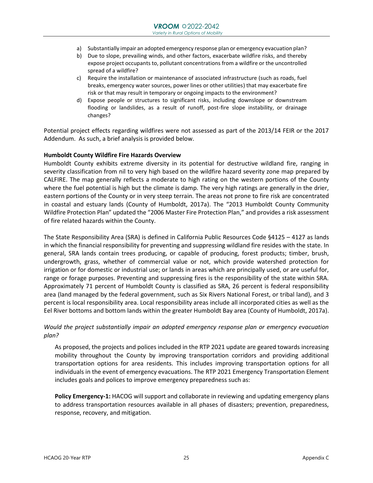- a) Substantially impair an adopted emergency response plan or emergency evacuation plan?
- b) Due to slope, prevailing winds, and other factors, exacerbate wildfire risks, and thereby expose project occupants to, pollutant concentrations from a wildfire or the uncontrolled spread of a wildfire?
- c) Require the installation or maintenance of associated infrastructure (such as roads, fuel breaks, emergency water sources, power lines or other utilities) that may exacerbate fire risk or that may result in temporary or ongoing impacts to the environment?
- d) Expose people or structures to significant risks, including downslope or downstream flooding or landslides, as a result of runoff, post-fire slope instability, or drainage changes?

Potential project effects regarding wildfires were not assessed as part of the 2013/14 FEIR or the 2017 Addendum. As such, a brief analysis is provided below.

#### **Humboldt County Wildfire Fire Hazards Overview**

Humboldt County exhibits extreme diversity in its potential for destructive wildland fire, ranging in severity classification from nil to very high based on the wildfire hazard severity zone map prepared by CALFIRE. The map generally reflects a moderate to high rating on the western portions of the County where the fuel potential is high but the climate is damp. The very high ratings are generally in the drier, eastern portions of the County or in very steep terrain. The areas not prone to fire risk are concentrated in coastal and estuary lands (County of Humboldt, 2017a). The "2013 Humboldt County Community Wildfire Protection Plan" updated the "2006 Master Fire Protection Plan," and provides a risk assessment of fire related hazards within the County.

The State Responsibility Area (SRA) is defined in California Public Resources Code §4125 – 4127 as lands in which the financial responsibility for preventing and suppressing wildland fire resides with the state. In general, SRA lands contain trees producing, or capable of producing, forest products; timber, brush, undergrowth, grass, whether of commercial value or not, which provide watershed protection for irrigation or for domestic or industrial use; or lands in areas which are principally used, or are useful for, range or forage purposes. Preventing and suppressing fires is the responsibility of the state within SRA. Approximately 71 percent of Humboldt County is classified as SRA, 26 percent is federal responsibility area (land managed by the federal government, such as Six Rivers National Forest, or tribal land), and 3 percent is local responsibility area. Local responsibility areas include all incorporated cities as well as the Eel River bottoms and bottom lands within the greater Humboldt Bay area (County of Humboldt, 2017a).

#### *Would the project substantially impair an adopted emergency response plan or emergency evacuation plan?*

As proposed, the projects and polices included in the RTP 2021 update are geared towards increasing mobility throughout the County by improving transportation corridors and providing additional transportation options for area residents. This includes improving transportation options for all individuals in the event of emergency evacuations. The RTP 2021 Emergency Transportation Element includes goals and polices to improve emergency preparedness such as:

**Policy Emergency-1:** HACOG will support and collaborate in reviewing and updating emergency plans to address transportation resources available in all phases of disasters; prevention, preparedness, response, recovery, and mitigation.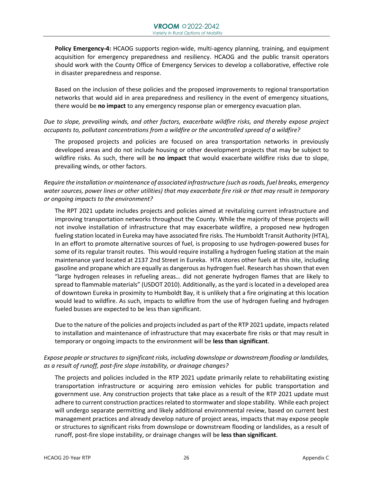**Policy Emergency-4:** HCAOG supports region-wide, multi-agency planning, training, and equipment acquisition for emergency preparedness and resiliency. HCAOG and the public transit operators should work with the County Office of Emergency Services to develop a collaborative, effective role in disaster preparedness and response.

Based on the inclusion of these policies and the proposed improvements to regional transportation networks that would aid in area preparedness and resiliency in the event of emergency situations, there would be **no impact** to any emergency response plan or emergency evacuation plan.

#### *Due to slope, prevailing winds, and other factors, exacerbate wildfire risks, and thereby expose project occupants to, pollutant concentrations from a wildfire or the uncontrolled spread of a wildfire?*

The proposed projects and policies are focused on area transportation networks in previously developed areas and do not include housing or other development projects that may be subject to wildfire risks. As such, there will be **no impact** that would exacerbate wildfire risks due to slope, prevailing winds, or other factors.

#### *Require the installation or maintenance of associated infrastructure (such as roads, fuel breaks, emergency water sources, power lines or other utilities) that may exacerbate fire risk or that may result in temporary or ongoing impacts to the environment?*

The RPT 2021 update includes projects and policies aimed at revitalizing current infrastructure and improving transportation networks throughout the County. While the majority of these projects will not involve installation of infrastructure that may exacerbate wildfire, a proposed new hydrogen fueling station located in Eureka may have associated fire risks. The Humboldt Transit Authority (HTA), In an effort to promote alternative sources of fuel, is proposing to use hydrogen-powered buses for some of its regular transit routes. This would require installing a hydrogen fueling station at the main maintenance yard located at 2137 2nd Street in Eureka. HTA stores other fuels at this site, including gasoline and propane which are equally as dangerous as hydrogen fuel. Research has shown that even "large hydrogen releases in refueling areas… did not generate hydrogen flames that are likely to spread to flammable materials" (USDOT 2010). Additionally, as the yard is located in a developed area of downtown Eureka in proximity to Humboldt Bay, it is unlikely that a fire originating at this location would lead to wildfire. As such, impacts to wildfire from the use of hydrogen fueling and hydrogen fueled busses are expected to be less than significant.

Due to the nature of the policies and projects included as part of the RTP 2021 update, impacts related to installation and maintenance of infrastructure that may exacerbate fire risks or that may result in temporary or ongoing impacts to the environment will be **less than significant**.

#### *Expose people or structures to significant risks, including downslope or downstream flooding or landslides, as a result of runoff, post-fire slope instability, or drainage changes?*

The projects and policies included in the RTP 2021 update primarily relate to rehabilitating existing transportation infrastructure or acquiring zero emission vehicles for public transportation and government use. Any construction projects that take place as a result of the RTP 2021 update must adhere to current construction practices related to stormwater and slope stability. While each project will undergo separate permitting and likely additional environmental review, based on current best management practices and already develop nature of project areas, impacts that may expose people or structures to significant risks from downslope or downstream flooding or landslides, as a result of runoff, post-fire slope instability, or drainage changes will be **less than significant**.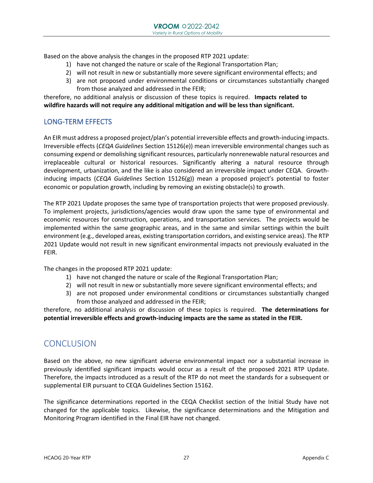Based on the above analysis the changes in the proposed RTP 2021 update:

- 1) have not changed the nature or scale of the Regional Transportation Plan;
- 2) will not result in new or substantially more severe significant environmental effects; and
- 3) are not proposed under environmental conditions or circumstances substantially changed from those analyzed and addressed in the FEIR;

therefore, no additional analysis or discussion of these topics is required. **Impacts related to wildfire hazards will not require any additional mitigation and will be less than significant.**

#### LONG-TERM EFFECTS

An EIR must address a proposed project/plan's potential irreversible effects and growth-inducing impacts. Irreversible effects (*CEQA Guidelines* Section 15126(e)) mean irreversible environmental changes such as consuming expend or demolishing significant resources, particularly nonrenewable natural resources and irreplaceable cultural or historical resources. Significantly altering a natural resource through development, urbanization, and the like is also considered an irreversible impact under CEQA. Growthinducing impacts (*CEQA Guidelines* Section 15126(g)) mean a proposed project's potential to foster economic or population growth, including by removing an existing obstacle(s) to growth.

The RTP 2021 Update proposes the same type of transportation projects that were proposed previously. To implement projects, jurisdictions/agencies would draw upon the same type of environmental and economic resources for construction, operations, and transportation services. The projects would be implemented within the same geographic areas, and in the same and similar settings within the built environment (e.g., developed areas, existing transportation corridors, and existing service areas). The RTP 2021 Update would not result in new significant environmental impacts not previously evaluated in the FEIR.

The changes in the proposed RTP 2021 update:

- 1) have not changed the nature or scale of the Regional Transportation Plan;
- 2) will not result in new or substantially more severe significant environmental effects; and
- 3) are not proposed under environmental conditions or circumstances substantially changed from those analyzed and addressed in the FEIR;

therefore, no additional analysis or discussion of these topics is required. **The determinations for potential irreversible effects and growth-inducing impacts are the same as stated in the FEIR.** 

## **CONCLUSION**

Based on the above, no new significant adverse environmental impact nor a substantial increase in previously identified significant impacts would occur as a result of the proposed 2021 RTP Update. Therefore, the impacts introduced as a result of the RTP do not meet the standards for a subsequent or supplemental EIR pursuant to CEQA Guidelines Section 15162.

The significance determinations reported in the CEQA Checklist section of the Initial Study have not changed for the applicable topics. Likewise, the significance determinations and the Mitigation and Monitoring Program identified in the Final EIR have not changed.